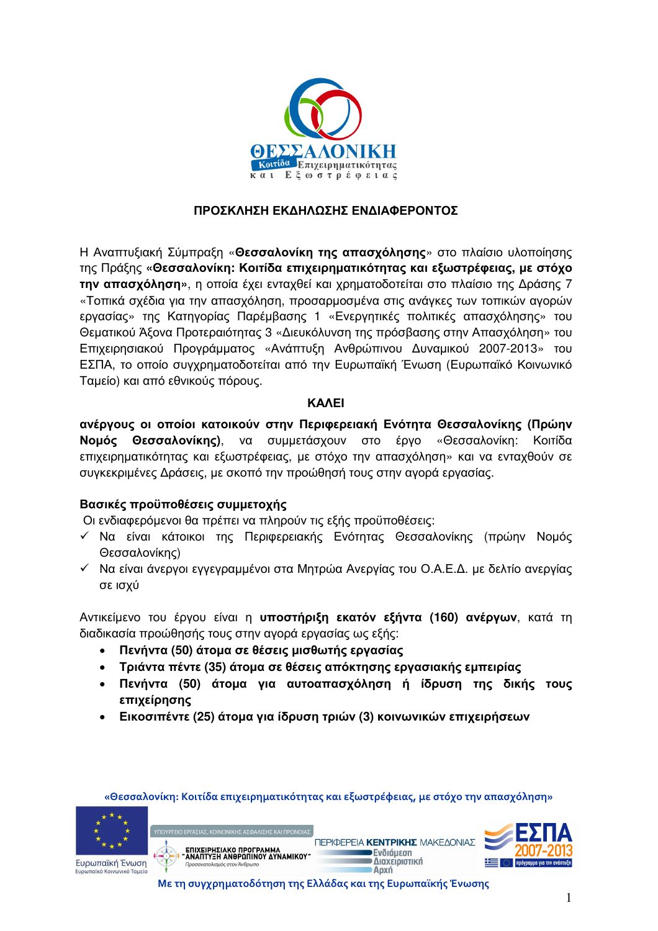

#### ΠΡΟΣΚΛΗΣΗ ΕΚΔΗΛΩΣΗΣ ΕΝΔΙΑΦΕΡΟΝΤΟΣ

Η Αναπτυξιακή Σύμπραξη «Θεσσαλονίκη της απασχόλησης» στο πλαίσιο υλοποίησης της Πράξης «Θεσσαλονίκη: Κοιτίδα επιχειρηματικότητας και εξωστρέφειας, με στόχο την απασχόληση», η οποία έχει ενταχθεί και χρηματοδοτείται στο πλαίσιο της Δράσης 7 «Τοπικά σχέδια για την απασχόληση, προσαρμοσμένα στις ανάγκες των τοπικών αγορών εργασίας» της Κατηγορίας Παρέμβασης 1 «Ενεργητικές πολιτικές απασχόλησης» του Θεματικού Άξονα Προτεραιότητας 3 «Διευκόλυνση της πρόσβασης στην Απασχόληση» του Επιχειρησιακού Προγράμματος «Ανάπτυξη Ανθρώπινου Δυναμικού 2007-2013» του ΕΣΠΑ, το οποίο συγχρηματοδοτείται από την Ευρωπαϊκή Ένωση (Ευρωπαϊκό Κοινωνικό Ταμείο) και από εθνικούς πόρους.

#### **KAAEI**

ανέργους οι οποίοι κατοικούν στην Περιφερειακή Ενότητα Θεσσαλονίκης (Πρώην **Νομός Θεσσαλονίκης)**, να συμμετάσχουν στο έργο «Θεσσαλονίκη: Κοιτίδα επιχειρηματικότητας και εξωστρέφειας, με στόχο την απασχόληση» και να ενταχθούν σε συγκεκριμένες Δράσεις, με σκοπό την προώθησή τους στην αγορά εργασίας.

## Βασικές προϋποθέσεις συμμετοχής

Οι ενδιαφερόμενοι θα πρέπει να πληρούν τις εξής προϋποθέσεις:

- ν Να είναι κάτοικοι της Περιφερειακής Ενότητας Θεσσαλονίκης (πρώην Νομός Θεσσαλονίκης)
- ν Να είναι άνεργοι εγγεγραμμένοι στα Μητρώα Ανεργίας του Ο.Α.Ε.Δ. με δελτίο ανεργίας σε ισχύ

Αντικείμενο του έργου είναι η **υποστήριξη εκατόν εξήντα (160) ανέργων**, κατά τη διαδικασία προώθησής τους στην αγορά εργασίας ως εξής:

- Πενήντα (50) άτομα σε θέσεις μισθωτής εργασίας
- Τριάντα πέντε (35) άτομα σε θέσεις απόκτησης εργασιακής εμπειρίας
- Πενήντα (50) άτομα για αυτοαπασχόληση ή ίδρυση της δικής τους επιχείρησης
- Εικοσιπέντε (25) άτομα για ίδρυση τριών (3) κοινωνικών επιχειρήσεων







Με τη συγχρηματοδότηση της Ελλάδας και της Ευρωπαϊκής Ένωσης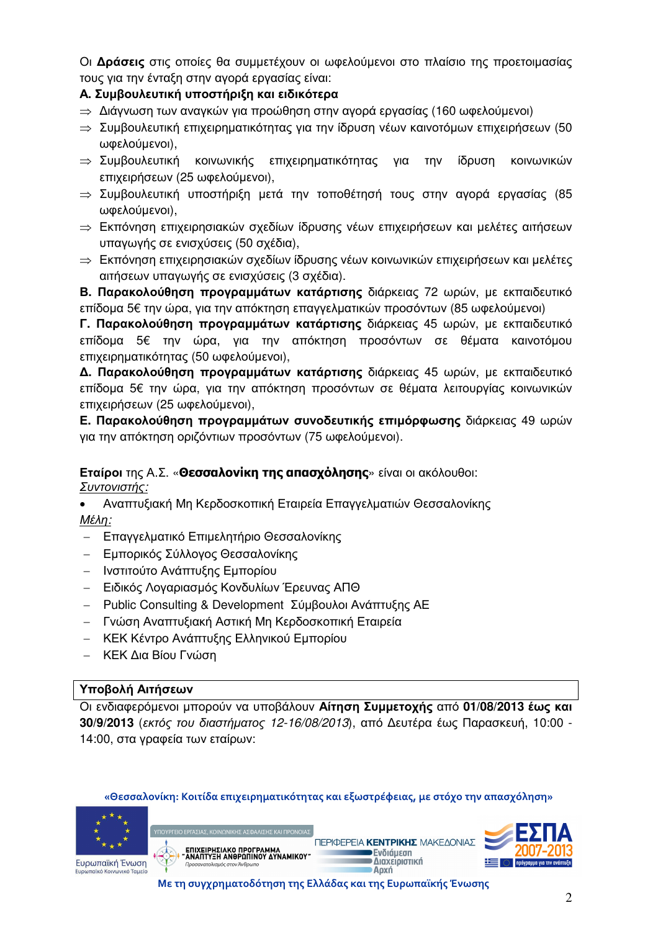Οι Δράσεις στις οποίες θα συμμετέχουν οι ωφελούμενοι στο πλαίσιο της προετοιμασίας τους για την ένταξη στην αγορά εργασίας είναι:

# Α. Συμβουλευτική υποστήριξη και ειδικότερα

- ⇒ Διάγνωση των αναγκών για προώθηση στην αγορά εργασίας (160 ωφελούμενοι)
- ⇒ Συμβουλευτική επιχειρηματικότητας για την ίδρυση γέων καινοτόμων επιχειρήσεων (50 ωφελούμενοι),
- ⇒ Συμβουλευτική ΚΟΙνωνικής επιχειρηματικότητας για την ίδρυση κοινωνικών επιχειρήσεων (25 ωφελούμενοι),
- $\Rightarrow$  Συμβουλευτική υποστήριξη μετά την τοποθέτησή τους στην αγορά εργασίας (85 ωφελούμενοι),
- ⇒ Εκπόνηση επιχειρησιακών σχεδίων ίδρυσης νέων επιχειρήσεων και μελέτες αιτήσεων υπαγωγής σε ενισχύσεις (50 σχέδια),
- ⇒ Εκπόνηση επιχειρησιακών σχεδίων ίδρυσης νέων κοινωνικών επιχειρήσεων και μελέτες αιτήσεων υπαγωγής σε ενισχύσεις (3 σχέδια).

Β. Παρακολούθηση προγραμμάτων κατάρτισης διάρκειας 72 ωρών, με εκπαιδευτικό επίδομα 5€ την ώρα, για την απόκτηση επαγγελματικών προσόντων (85 ωφελούμενοι)

Γ. Παρακολούθηση προγραμμάτων κατάρτισης διάρκειας 45 ωρών, με εκπαιδευτικό επίδομα 5€ την ώρα, για την απόκτηση προσόντων σε θέματα καινοτόμου επιχειρηματικότητας (50 ωφελούμενοι),

Δ. Παρακολούθηση προγραμμάτων κατάρτισης διάρκειας 45 ωρών, με εκπαιδευτικό επίδομα 5€ την ώρα, για την απόκτηση προσόντων σε θέματα λειτουργίας κοινωνικών επιχειρήσεων (25 ωφελούμενοι),

Ε. Παρακολούθηση προγραμμάτων συνοδευτικής επιμόρφωσης διάρκειας 49 ωρών για την απόκτηση οριζόντιων προσόντων (75 ωφελούμενοι).

## Εταίροι της Α.Σ. «Θεσσαλονίκη της απασχόλησης» είναι οι ακόλουθοι: <u> Συντονιστής:</u>

- Αναπτυξιακή Μη Κερδοσκοπική Εταιρεία Επαγγελματιών Θεσσαλονίκης Μέλη:
- Επαγγελματικό Επιμελητήριο Θεσσαλονίκης
- Εμπορικός Σύλλογος Θεσσαλονίκης
- Ινστιτούτο Ανάπτυξης Εμπορίου
- Ειδικός Λογαριασμός Κονδυλίων Έρευνας ΑΠΘ
- Public Consulting & Development Σύμβουλοι Ανάπτυξης ΑΕ  $\equiv$
- Γνώση Αναπτυξιακή Αστική Μη Κερδοσκοπική Εταιρεία
- ΚΕΚ Κέντρο Ανάπτυξης Ελληνικού Εμπορίου
- ΚΕΚ Δια Βίου Γνώση

## Υποβολή Αιτήσεων

Οι ενδιαφερόμενοι μπορούν να υποβάλουν Αίτηση Συμμετοχής από 01/08/2013 έως και 30/9/2013 (εκτός του διαστήματος 12-16/08/2013), από Δευτέρα έως Παρασκευή, 10:00 -14:00, στα γραφεία των εταίρων:







Με τη συγχρηματοδότηση της Ελλάδας και της Ευρωπαϊκής Ένωσης